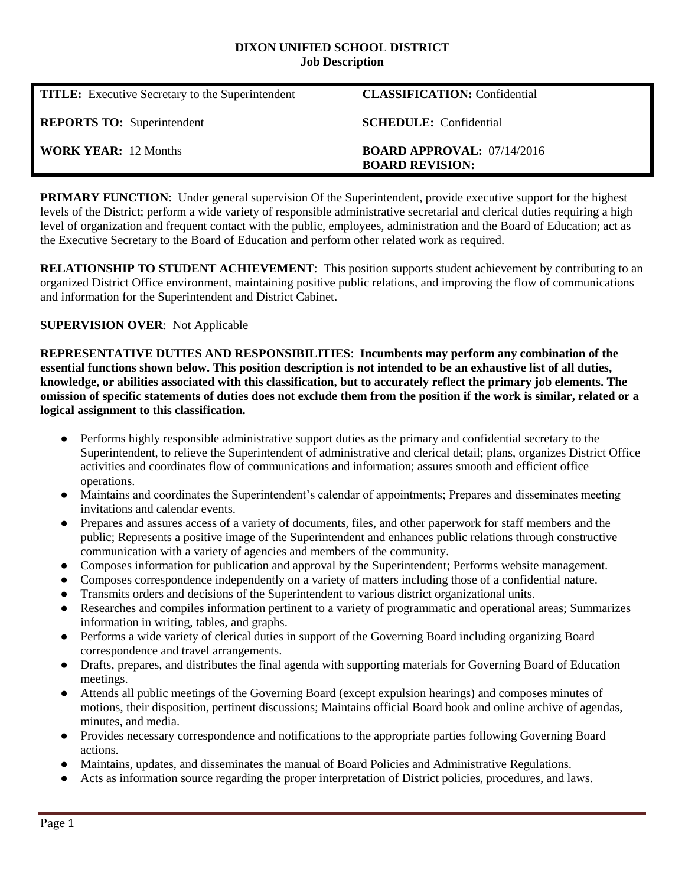#### **DIXON UNIFIED SCHOOL DISTRICT Job Description**

| <b>TITLE:</b> Executive Secretary to the Superintendent | <b>CLASSIFICATION:</b> Confidential                           |
|---------------------------------------------------------|---------------------------------------------------------------|
| <b>REPORTS TO:</b> Superintendent                       | <b>SCHEDULE:</b> Confidential                                 |
| <b>WORK YEAR:</b> 12 Months                             | <b>BOARD APPROVAL:</b> $07/14/2016$<br><b>BOARD REVISION:</b> |

**PRIMARY FUNCTION:** Under general supervision Of the Superintendent, provide executive support for the highest levels of the District; perform a wide variety of responsible administrative secretarial and clerical duties requiring a high level of organization and frequent contact with the public, employees, administration and the Board of Education; act as the Executive Secretary to the Board of Education and perform other related work as required.

**RELATIONSHIP TO STUDENT ACHIEVEMENT**: This position supports student achievement by contributing to an organized District Office environment, maintaining positive public relations, and improving the flow of communications and information for the Superintendent and District Cabinet.

### **SUPERVISION OVER**: Not Applicable

**REPRESENTATIVE DUTIES AND RESPONSIBILITIES**: **Incumbents may perform any combination of the essential functions shown below. This position description is not intended to be an exhaustive list of all duties, knowledge, or abilities associated with this classification, but to accurately reflect the primary job elements. The omission of specific statements of duties does not exclude them from the position if the work is similar, related or a logical assignment to this classification.**

- Performs highly responsible administrative support duties as the primary and confidential secretary to the Superintendent, to relieve the Superintendent of administrative and clerical detail; plans, organizes District Office activities and coordinates flow of communications and information; assures smooth and efficient office operations.
- Maintains and coordinates the Superintendent's calendar of appointments; Prepares and disseminates meeting invitations and calendar events.
- Prepares and assures access of a variety of documents, files, and other paperwork for staff members and the public; Represents a positive image of the Superintendent and enhances public relations through constructive communication with a variety of agencies and members of the community.
- Composes information for publication and approval by the Superintendent; Performs website management.
- Composes correspondence independently on a variety of matters including those of a confidential nature.
- Transmits orders and decisions of the Superintendent to various district organizational units.
- Researches and compiles information pertinent to a variety of programmatic and operational areas; Summarizes information in writing, tables, and graphs.
- Performs a wide variety of clerical duties in support of the Governing Board including organizing Board correspondence and travel arrangements.
- Drafts, prepares, and distributes the final agenda with supporting materials for Governing Board of Education meetings.
- Attends all public meetings of the Governing Board (except expulsion hearings) and composes minutes of motions, their disposition, pertinent discussions; Maintains official Board book and online archive of agendas, minutes, and media.
- Provides necessary correspondence and notifications to the appropriate parties following Governing Board actions.
- Maintains, updates, and disseminates the manual of Board Policies and Administrative Regulations.
- Acts as information source regarding the proper interpretation of District policies, procedures, and laws.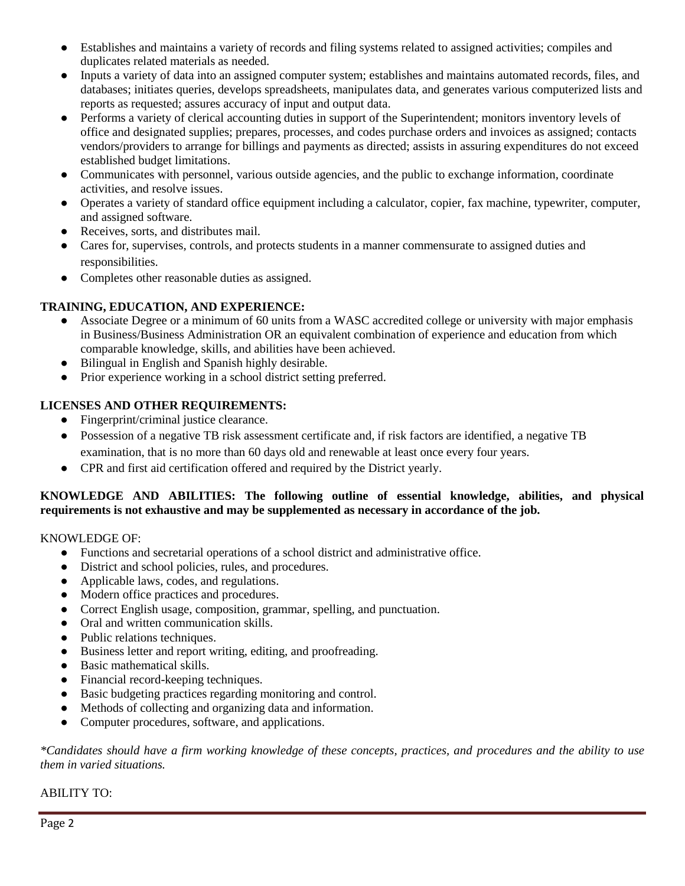- Establishes and maintains a variety of records and filing systems related to assigned activities; compiles and duplicates related materials as needed.
- Inputs a variety of data into an assigned computer system; establishes and maintains automated records, files, and databases; initiates queries, develops spreadsheets, manipulates data, and generates various computerized lists and reports as requested; assures accuracy of input and output data.
- Performs a variety of clerical accounting duties in support of the Superintendent; monitors inventory levels of office and designated supplies; prepares, processes, and codes purchase orders and invoices as assigned; contacts vendors/providers to arrange for billings and payments as directed; assists in assuring expenditures do not exceed established budget limitations.
- Communicates with personnel, various outside agencies, and the public to exchange information, coordinate activities, and resolve issues.
- Operates a variety of standard office equipment including a calculator, copier, fax machine, typewriter, computer, and assigned software.
- Receives, sorts, and distributes mail.
- Cares for, supervises, controls, and protects students in a manner commensurate to assigned duties and responsibilities.
- Completes other reasonable duties as assigned.

# **TRAINING, EDUCATION, AND EXPERIENCE:**

- Associate Degree or a minimum of 60 units from a WASC accredited college or university with major emphasis in Business/Business Administration OR an equivalent combination of experience and education from which comparable knowledge, skills, and abilities have been achieved.
- Bilingual in English and Spanish highly desirable.
- Prior experience working in a school district setting preferred.

# **LICENSES AND OTHER REQUIREMENTS:**

- Fingerprint/criminal justice clearance.
- Possession of a negative TB risk assessment certificate and, if risk factors are identified, a negative TB examination, that is no more than 60 days old and renewable at least once every four years.
- CPR and first aid certification offered and required by the District yearly.

## **KNOWLEDGE AND ABILITIES: The following outline of essential knowledge, abilities, and physical requirements is not exhaustive and may be supplemented as necessary in accordance of the job.**

## KNOWLEDGE OF:

- Functions and secretarial operations of a school district and administrative office.
- District and school policies, rules, and procedures.
- Applicable laws, codes, and regulations.
- Modern office practices and procedures.
- Correct English usage, composition, grammar, spelling, and punctuation.
- Oral and written communication skills.
- Public relations techniques.
- Business letter and report writing, editing, and proofreading.
- Basic mathematical skills.
- Financial record-keeping techniques.
- Basic budgeting practices regarding monitoring and control.
- Methods of collecting and organizing data and information.
- Computer procedures, software, and applications.

*\*Candidates should have a firm working knowledge of these concepts, practices, and procedures and the ability to use them in varied situations.*

## ABILITY TO: